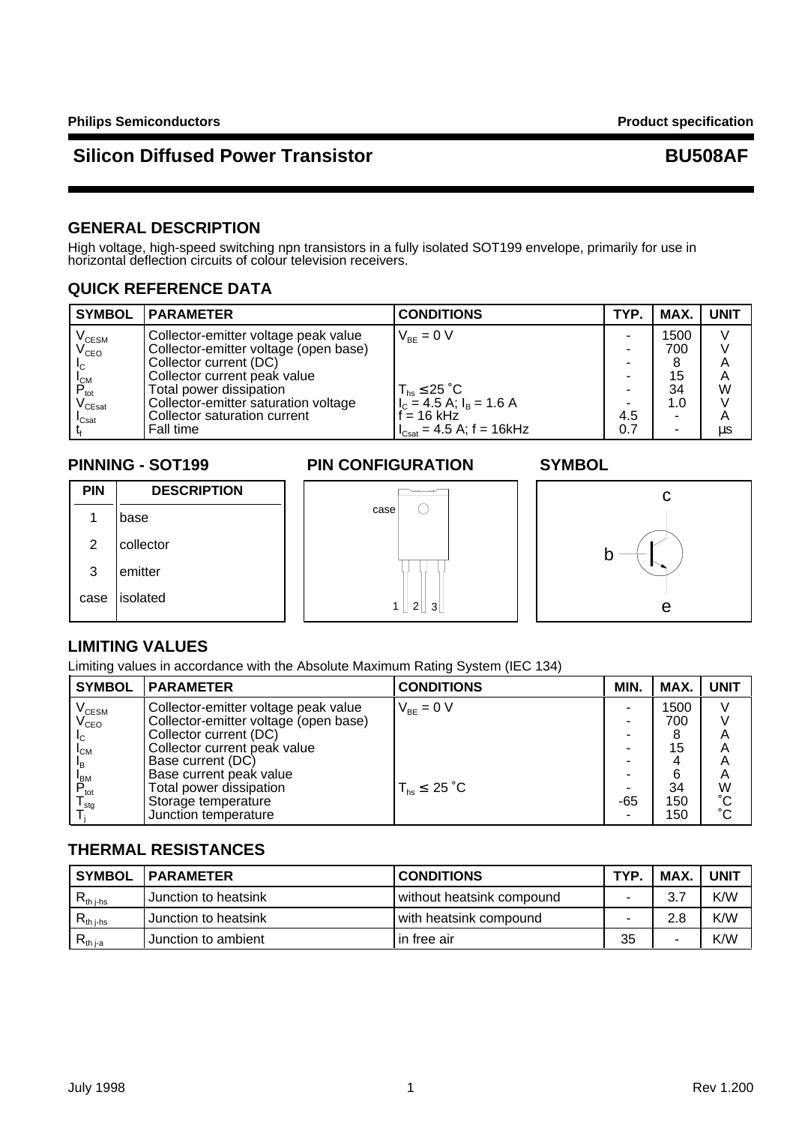## **GENERAL DESCRIPTION**

High voltage, high-speed switching npn transistors in a fully isolated SOT199 envelope, primarily for use in horizontal deflection circuits of colour television receivers.

### **QUICK REFERENCE DATA**

| <b>SYMBOL</b>                          | <b>PARAMETER</b>                      | <b>CONDITIONS</b>                                                            | TYP. | MAX. | <b>UNIT</b> |
|----------------------------------------|---------------------------------------|------------------------------------------------------------------------------|------|------|-------------|
| V <sub>CESM</sub><br>V <sub>CEO</sub>  | Collector-emitter voltage peak value  | $V_{BF} = 0 V$                                                               | -    | 1500 | V           |
|                                        | Collector-emitter voltage (open base) |                                                                              | -    | 700  |             |
| IC.                                    | Collector current (DC)                |                                                                              | ۰    |      | A           |
| <b>I</b> <sub>CM</sub>                 | Collector current peak value          |                                                                              |      | 15   | A           |
| $P_{\text{tot}}$                       | Total power dissipation               |                                                                              | -    | 34   | W           |
| $\mathsf{V}_{\mathsf{C}\mathsf{East}}$ | Collector-emitter saturation voltage  | $T_{hs} \leq 25 \degree C$<br>$I_{C} = 4.5 \text{ A}; I_{B} = 1.6 \text{ A}$ |      | 1.0  |             |
| $\mathsf{I}_{\mathsf{Csat}}$           | Collector saturation current          | $f = 16$ kHz                                                                 | 4.5  | ۰    | A           |
|                                        | Fall time                             | $I_{\text{Csat}} = 4.5 \text{ A}; f = 16 \text{ kHz}$                        | 0.7  | ۰    | μs          |

### **PINNING - SOT199 PIN CONFIGURATION SYMBOL**



### **LIMITING VALUES**

Limiting values in accordance with the Absolute Maximum Rating System (IEC 134)

| <b>SYMBOL</b>               | <b>PARAMETER</b>                      | <b>CONDITIONS</b>          | MIN. | MAX. | <b>UNIT</b>     |
|-----------------------------|---------------------------------------|----------------------------|------|------|-----------------|
| $\rm V_{\rm CESM}$          | Collector-emitter voltage peak value  | $V_{BE} = 0 V$             |      | 1500 |                 |
| $\mathsf{V}_{\mathsf{CEO}}$ | Collector-emitter voltage (open base) |                            |      | 700  |                 |
| I <sub>C</sub>              | Collector current (DC)                |                            |      | 8    |                 |
| $I_{CM}$                    | Collector current peak value          |                            |      | 15   | A               |
| <sup>I</sup> B              | Base current (DC)                     |                            |      |      | A               |
| <b>BM</b>                   | Base current peak value               |                            |      | 6    | A               |
| $\mathsf{P}_{\sf tot}$      | Total power dissipation               | $T_{hs} \leq 25 \degree C$ |      | 34   | W               |
| l <sub>sta</sub>            | Storage temperature                   |                            | -65  | 150  | $\rm ^{\circ}C$ |
|                             | Junction temperature                  |                            |      | 150  | $^{\circ}$ C    |

## **THERMAL RESISTANCES**

| <b>SYMBOL</b>                   | <b>IPARAMETER</b>    | <b>CONDITIONS</b>         | TYP. | MAX. | <b>UNIT</b> |
|---------------------------------|----------------------|---------------------------|------|------|-------------|
| $\cdot$ th i-hs                 | Junction to heatsink | without heatsink compound |      | 3.7  | K/W         |
| $\mathsf{N}_{\mathsf{th}}$ i-hs | Junction to heatsink | with heatsink compound    |      | 2.8  | K/W         |
| רth i-a                         | Junction to ambient  | l in free air             | 35   | -    | K/W         |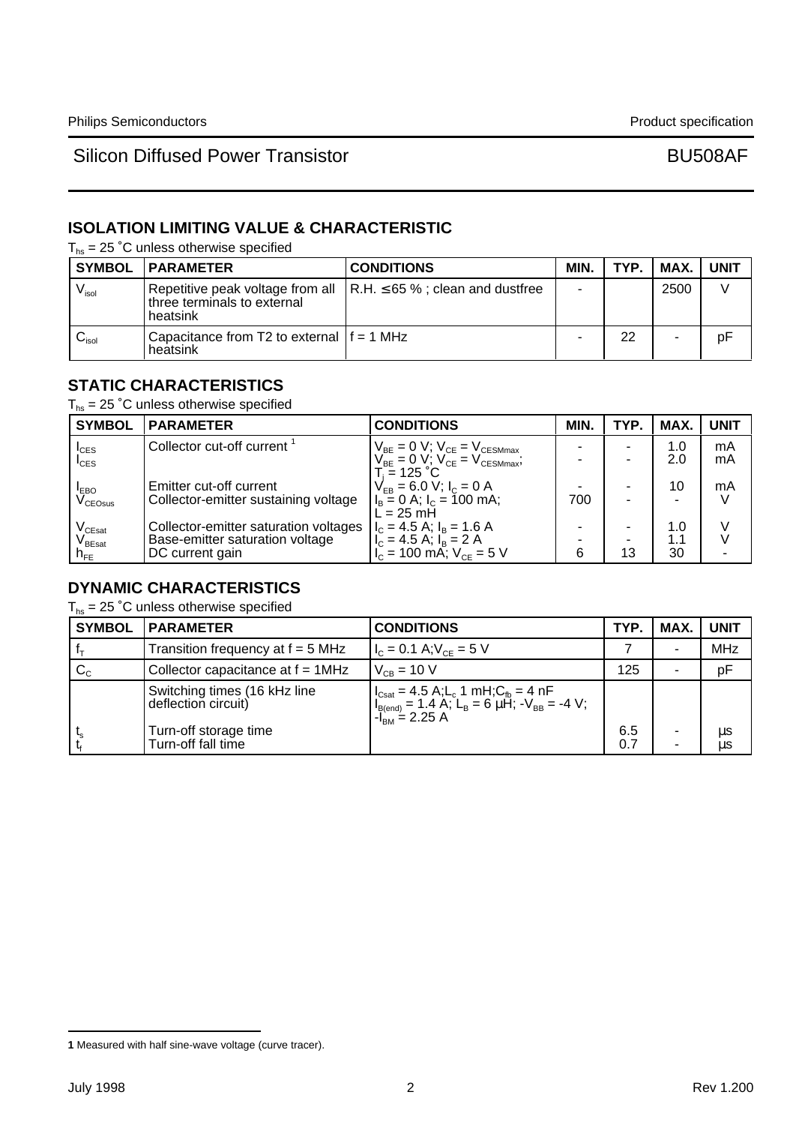## **ISOLATION LIMITING VALUE & CHARACTERISTIC**

 $T_{hs}$  = 25 °C unless otherwise specified

|                                              | <b>SYMBOL   PARAMETER</b>                                | <b>CONDITIONS</b>                                                             | MIN. | TYP. | MAX. | <b>UNIT</b> |
|----------------------------------------------|----------------------------------------------------------|-------------------------------------------------------------------------------|------|------|------|-------------|
| $V_{\sf isol}$                               | three terminals to external<br>heatsink                  | Repetitive peak voltage from all $\vert$ R.H. $\leq$ 65 %; clean and dustfree |      |      | 2500 |             |
| $\mathord{\cup}_{\mathord{\text{\rm isol}}}$ | Capacitance from T2 to external $ f = 1$ MHz<br>heatsink |                                                                               |      | 22   |      | pF          |

## **STATIC CHARACTERISTICS**

 $T_{hs}$  = 25 °C unless otherwise specified

| <b>SYMBOL</b>                          | <b>PARAMETER</b>                      | <b>CONDITIONS</b>                                                                                                                                           | MIN. | TYP. | <b>MAX</b> | <b>UNIT</b> |
|----------------------------------------|---------------------------------------|-------------------------------------------------------------------------------------------------------------------------------------------------------------|------|------|------------|-------------|
| $I_{CES}$                              | Collector cut-off current             | $\begin{array}{c} V_{\text{BE}}=0 \text{ V};\ V_{\text{CE}}=V_{\text{CESMmax}}\\ V_{\text{BE}}=0 \text{ V};\ V_{\text{CE}}=V_{\text{CESMmax}}; \end{array}$ |      |      | 1.0        | mA          |
| $I_{\text{CES}}$                       |                                       |                                                                                                                                                             |      |      | 2.0        | mA          |
| <b>LEBO</b>                            | Emitter cut-off current               | $T_i = 125 °C$<br>$V_{FB} = 6.0 V$ ; $I_C = 0 A$                                                                                                            |      |      | 10         | mA          |
| $\rm{V_{CEOsus}}$                      | Collector-emitter sustaining voltage  | $l_{\rm B}$ = 0 A; $l_{\rm C}$ = 100 mA;                                                                                                                    | 700  |      |            |             |
| $V_{CEsat}$                            | Collector-emitter saturation voltages | $\mathsf{L} = 25 \mathsf{m} \mathsf{H}$<br>$I_c = 4.5$ A; $I_B = 1.6$ A                                                                                     |      |      | 1.0        |             |
| $\mathsf{V}_{\mathsf{B}\mathsf{East}}$ | Base-emitter saturation voltage       | $I_{C} = 4.5$ A; $I_{B} = 2$ A                                                                                                                              |      |      | 1.1        |             |
| $n_{FE}$                               | DC current gain                       | $V_{\rm c}$ = 100 mA; $V_{\rm CE}$ = 5 V                                                                                                                    | 6    | 13   | 30         |             |

### **DYNAMIC CHARACTERISTICS**

 $T_{hs}$  = 25 °C unless otherwise specified

| <b>SYMBOL</b>    | <b>PARAMETER</b>                                    | <b>CONDITIONS</b>                                                                                                                                                                                                                                         | TYP.       | MAX.   | <b>UNIT</b> |
|------------------|-----------------------------------------------------|-----------------------------------------------------------------------------------------------------------------------------------------------------------------------------------------------------------------------------------------------------------|------------|--------|-------------|
|                  | Transition frequency at $f = 5$ MHz                 | $I_c = 0.1$ A; $V_{cF} = 5$ V                                                                                                                                                                                                                             |            |        | <b>MHz</b>  |
| $\mathrm{C_{c}}$ | Collector capacitance at $f = 1$ MHz                | $V_{CB} = 10 V$                                                                                                                                                                                                                                           | 125        | ۰      | pF          |
|                  | Switching times (16 kHz line<br>deflection circuit) | $\begin{cases} I_{\text{Cast}} = 4.5 \text{ A}; L_c 1 \text{ mH}; C_{\text{fb}} = 4 \text{ nF} \\ I_{\text{B(end)}} = 1.4 \text{ A}; L_{\text{B}} = 6 \text{ }\mu\text{H}; -V_{\text{BB}} = -4 \text{ V}; \\ -I_{\text{BM}} = 2.25 \text{ A} \end{cases}$ |            |        |             |
|                  | Turn-off storage time<br>Turn-off fall time         |                                                                                                                                                                                                                                                           | 6.5<br>0.7 | ٠<br>٠ | μs<br>μs    |

**<sup>1</sup>** Measured with half sine-wave voltage (curve tracer).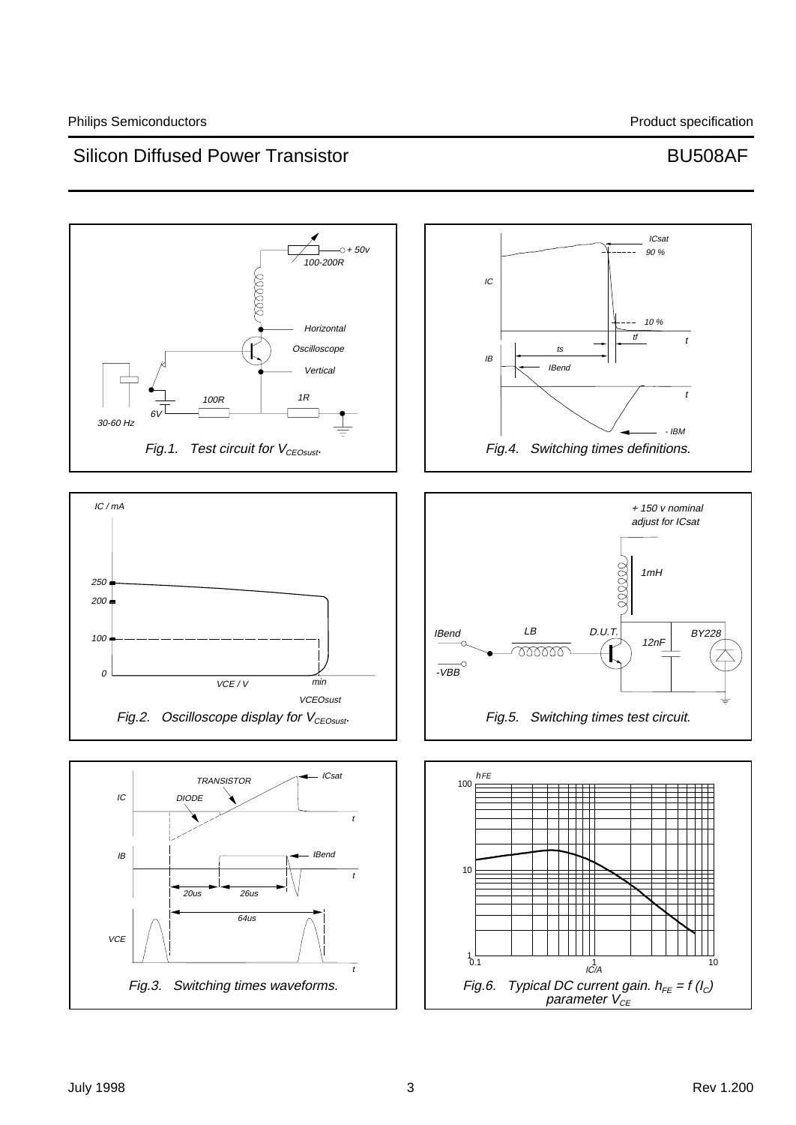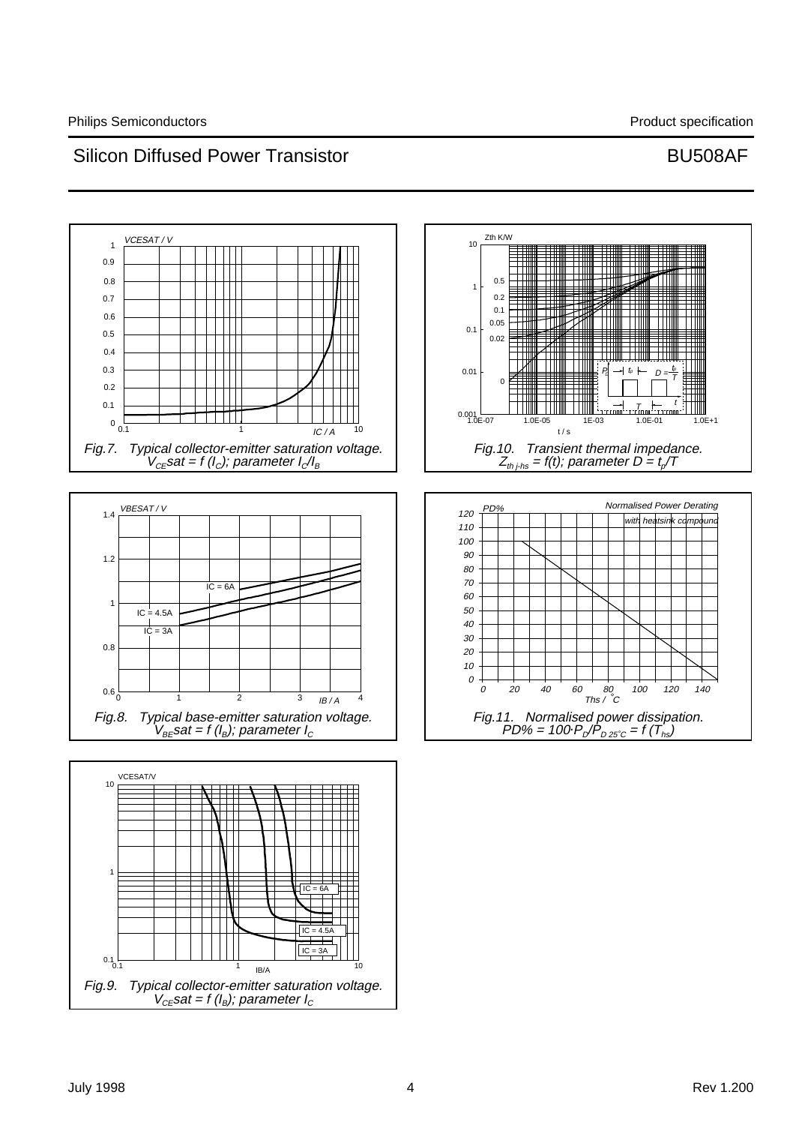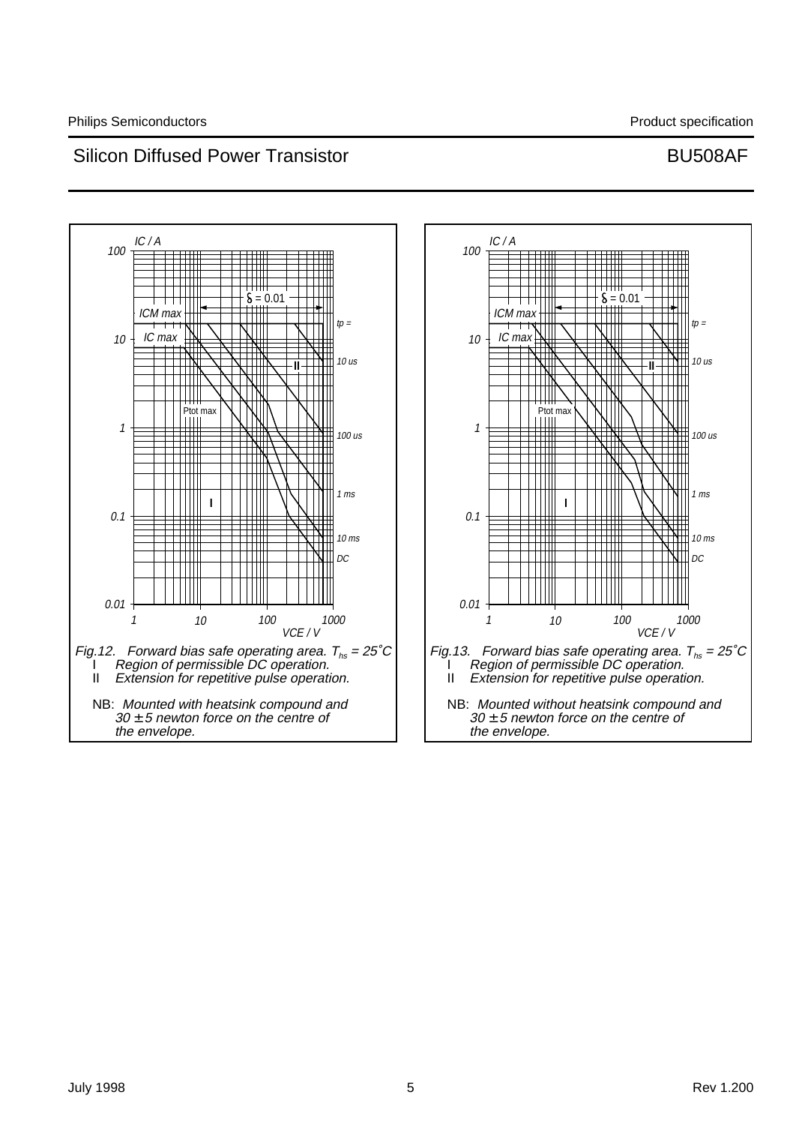

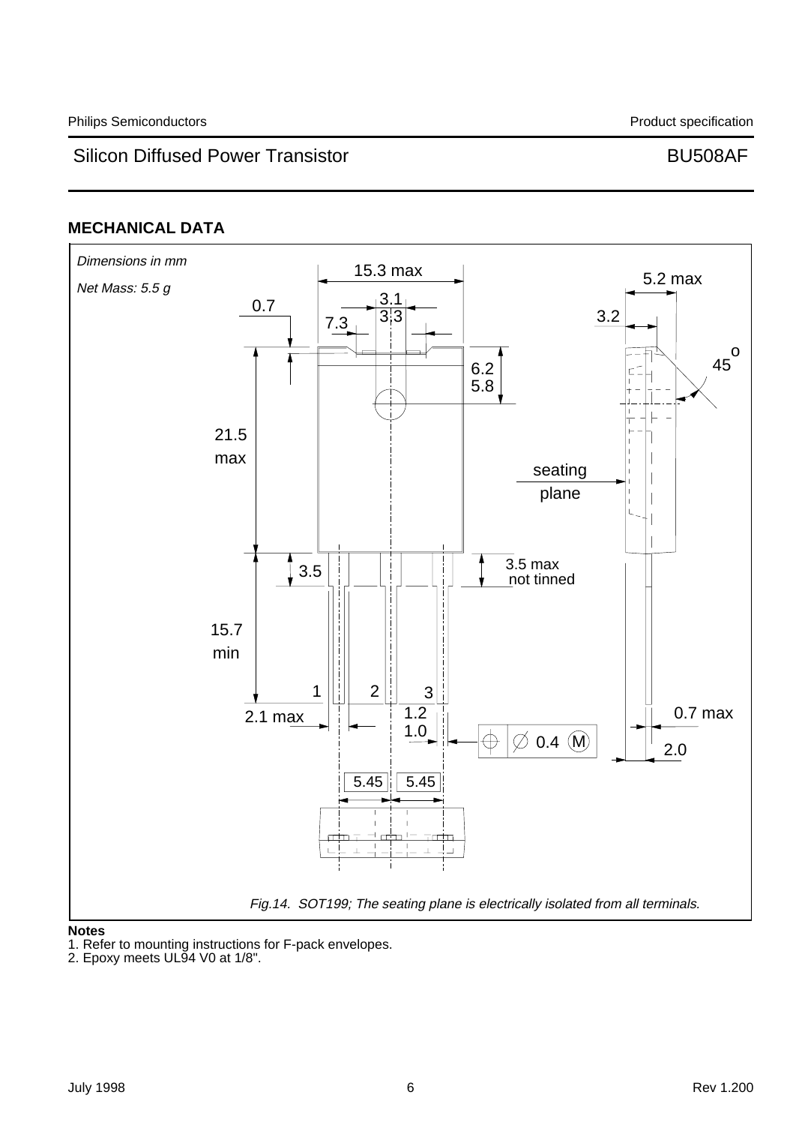# **MECHANICAL DATA**



### **Notes**

1. Refer to mounting instructions for F-pack envelopes.

<sup>2.</sup> Epoxy meets UL94 V0 at 1/8".